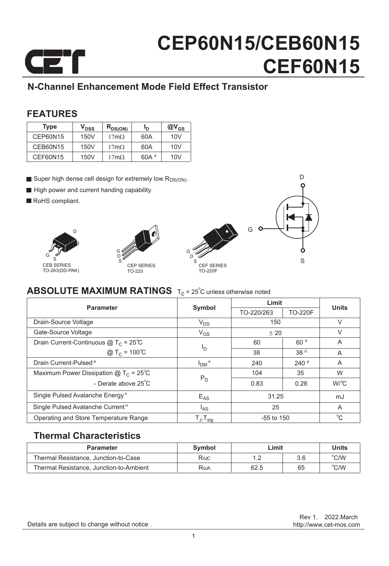

### **N-Channel Enhancement Mode Field Effect Transistor**

#### **FEATURES**

| <b>Type</b> | V <sub>DSS</sub> | $R_{DS(ON)}$        | Ιŋ               | $@V_{GS}$ |
|-------------|------------------|---------------------|------------------|-----------|
| CEP60N15    | 150V             | $17 \text{m}\Omega$ | 60A              | 10V       |
| CEB60N15    | 150V             | $17m\Omega$         | 60A              | 10V       |
| CEF60N15    | 150V             | $17 \text{m}\Omega$ | 60A <sup>d</sup> | 10V       |

- Super high dense cell design for extremely low R<sub>DS(ON)</sub>.
- High power and current handing capability.
- RoHS compliant.







D

### **ABSOLUTE MAXIMUM RATINGS**  $T_c = 25^\circ$ C unless otherwise noted

| <b>Parameter</b>                               | Symbol                     | Limit        |                  | <b>Units</b> |  |
|------------------------------------------------|----------------------------|--------------|------------------|--------------|--|
|                                                |                            | TO-220/263   | <b>TO-220F</b>   |              |  |
| Drain-Source Voltage                           | $V_{DS}$                   | 150          |                  | $\vee$       |  |
| Gate-Source Voltage                            | $V_{GS}$                   | ± 20         |                  | $\vee$       |  |
| Drain Current-Continuous $@T_C = 25^{\circ}C$  |                            | 60           | 60 <sup>d</sup>  | A            |  |
| @ T <sub>C</sub> = $100^{\circ}C$              | I <sub>D</sub>             | 38           | 38 <sup>d</sup>  | A            |  |
| Drain Current-Pulsed <sup>a</sup>              | $IDM$ <sup>e</sup>         | 240          | 240 <sup>d</sup> | A            |  |
| Maximum Power Dissipation $@T_c = 25^{\circ}C$ |                            | 104          | 35               | W            |  |
| - Derate above $25^{\circ}$ C                  | $P_D$                      | 0.83         | 0.28             | W/C          |  |
| Single Pulsed Avalanche Energy <sup>h</sup>    | $E_{AS}$                   | 31.25        |                  | mJ           |  |
| Single Pulsed Avalanche Current <sup>h</sup>   | <sup>I</sup> AS            | 25           |                  | A            |  |
| Operating and Store Temperature Range          | $T_{J}$ , $T_{\text{stq}}$ | $-55$ to 150 |                  | $^{\circ}$ C |  |

#### **Thermal Characteristics**

| <b>Parameter</b>                        | Symbol | ∟imit |     | Units          |  |
|-----------------------------------------|--------|-------|-----|----------------|--|
| Thermal Resistance, Junction-to-Case    | Rejc   |       | 3.6 | $^{\circ}$ C/W |  |
| Thermal Resistance, Junction-to-Ambient | Raja   | 62.5  | 65  | $^{\circ}$ C/W |  |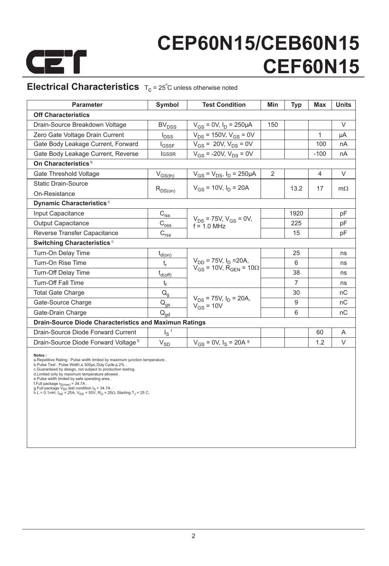

### **Electrical Characteristics**  $T_c = 25^\circ$ C unless otherwise noted

| <b>Parameter</b>                                              | Symbol                                          | <b>Test Condition</b>                           | Min | Typ            | <b>Max</b> | <b>Units</b> |  |
|---------------------------------------------------------------|-------------------------------------------------|-------------------------------------------------|-----|----------------|------------|--------------|--|
| <b>Off Characteristics</b>                                    |                                                 |                                                 |     |                |            |              |  |
| Drain-Source Breakdown Voltage                                | <b>BV<sub>DSS</sub></b>                         | $V_{GS} = 0V$ , $I_D = 250 \mu A$               | 150 |                |            | $\vee$       |  |
| Zero Gate Voltage Drain Current                               | $I_{\text{DSS}}$                                | $V_{DS}$ = 150V, $V_{GS}$ = 0V                  |     |                | 1          | μA           |  |
| Gate Body Leakage Current, Forward                            | <b>I</b> GSSF                                   | $V_{GS}$ = 20V, $V_{DS}$ = 0V                   |     |                | 100        | nA           |  |
| Gate Body Leakage Current, Reverse                            | <b>IGSSR</b>                                    | $V_{GS}$ = -20V, $V_{DS}$ = 0V                  |     |                | $-100$     | nA           |  |
| On Characteristics <sup>b</sup>                               |                                                 |                                                 |     |                |            |              |  |
| Gate Threshold Voltage                                        | $V_{GS(th)}$                                    | $V_{GS} = V_{DS}$ , $I_D = 250 \mu A$           | 2   |                | 4          | V            |  |
| <b>Static Drain-Source</b>                                    |                                                 | $V_{GS}$ = 10V, $I_D$ = 20A                     |     | 13.2           | 17         | $m\Omega$    |  |
| On-Resistance                                                 | $R_{DS(on)}$                                    |                                                 |     |                |            |              |  |
| Dynamic Characteristics <sup>c</sup>                          |                                                 |                                                 |     |                |            |              |  |
| Input Capacitance                                             | $C_{\text{iss}}$                                |                                                 |     | 1920           |            | pF           |  |
| <b>Output Capacitance</b>                                     | $\mathrm{C}_{\text{oss}}$                       | $V_{DS}$ = 75V, $V_{GS}$ = 0V,<br>$f = 1.0$ MHz |     | 225            |            | pF           |  |
| Reverse Transfer Capacitance                                  | $C_{r \underline{s} \underline{s}}$             |                                                 |     | 15             |            | pF           |  |
| Switching Characteristics <sup>c</sup>                        |                                                 |                                                 |     |                |            |              |  |
| Turn-On Delay Time                                            | $t_{d(on)}$                                     |                                                 |     | 25             |            | ns           |  |
| Turn-On Rise Time                                             | $t_{r}$                                         | $V_{DD}$ = 75V, $I_D$ = 20A,                    |     | 6              |            | ns           |  |
| <b>Turn-Off Delay Time</b>                                    | $t_{d(\underline{off})}$                        | $V_{GS}$ = 10V, R <sub>GEN</sub> = 10 $\Omega$  |     | 38             |            | ns           |  |
| <b>Turn-Off Fall Time</b>                                     | t <sub>f</sub>                                  |                                                 |     | $\overline{7}$ |            | ns           |  |
| <b>Total Gate Charge</b>                                      | $\mathsf{Q}_{\mathsf{g}}$                       |                                                 |     | 30             |            | nC           |  |
| Gate-Source Charge                                            | $\mathsf{Q}_{\underline{\mathsf{q}\mathsf{s}}}$ | $V_{DS}$ = 75V, $I_D$ = 20A,<br>$V_{GS}$ = 10V  |     | 9              |            | nC           |  |
| Gate-Drain Charge                                             | $\mathsf{Q}_{\mathsf{qd}}$                      |                                                 |     | 6              |            | nC           |  |
| <b>Drain-Source Diode Characteristics and Maximun Ratings</b> |                                                 |                                                 |     |                |            |              |  |
| Drain-Source Diode Forward Current                            | $I_S$ <sup>f</sup>                              |                                                 |     |                | 60         | A            |  |
| Drain-Source Diode Forward Voltage b                          | $V_{SD}$                                        | $V_{GS}$ = 0V, $I_S$ = 20A $\frac{9}{2}$        |     |                | 1.2        | V            |  |

**Notes :**<br> **Alteriary Constant School**<br> **Alter School**<br> **D.Pulse Test : Pulse Width**  $\leq$  **300µs, Duty Cycle**  $\leq$  **2% .<br>
C.Guaranteed by design, not subject to production testing.<br>
<b>d.Limited only by maximum temperature al**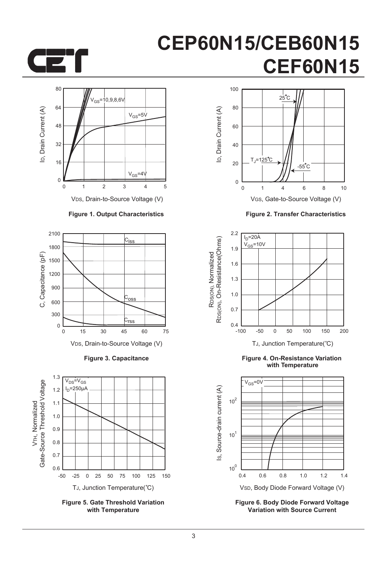



**Figure 2. Transfer Characteristics**



**Figure 4. On-Resistance Variation with Temperature**



**Figure 6. Body Diode Forward Voltage Variation with Source Current**



VDS, Drain-to-Source Voltage (V)

#### **Figure 1. Output Characteristics**



**Figure 3. Capacitance**



**Figure 5. Gate Threshold Variation with Temperature**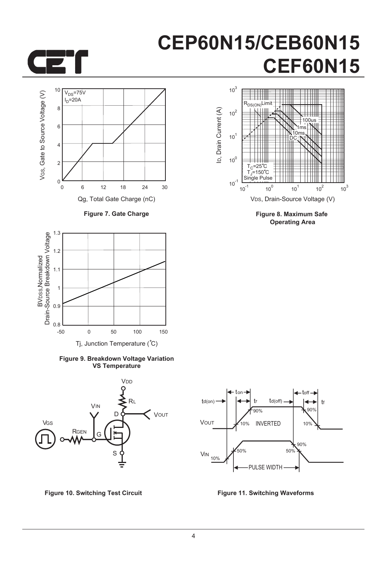



**Figure 7. Gate Charge**



**Figure 9. Breakdown Voltage Variation VS Temperature**





**Figure 8. Maximum Safe Operating Area**



**Figure 10. Switching Test Circuit Figure 11. Switching Waveforms**